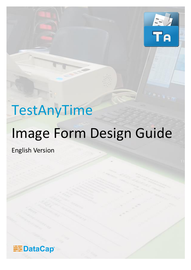

# TestAnyTime

# Image Form Design Guide

English Version

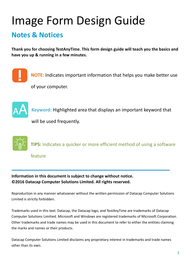## Image Form Design Guide

### **Notes & Notices**

**Thank you for choosing TestAnyTime. This form design guide will teach you the basics and have you up & running in a few minutes.**



**NOTE:** Indicates important information that helps you make better use of your computer.



**Keyword:** Highlighted area that displays an important keyword that

will be used frequently.



**Information in this document is subject to change without notice. ©2016 Datacap Computer Solutions Limited. All rights reserved.**

Reproduction in any manner whatsoever without the written permission of Datacap Computer Solutions Limited is strictly forbidden.

Trademarks used in this text: Datacap, the Datacap logo, and TestAnyTime are trademarks of Datacap Computer Solutions Limitied. Microsoft and Windows are registered trademarks of Microsoft Corporation. Other trademarks and trade names may be used in this document to refer to either the entities claiming the marks and names or their products.

Datacap Computer Solutions Limited disclaims any proprietary interest in trademarks and trade names other than its own.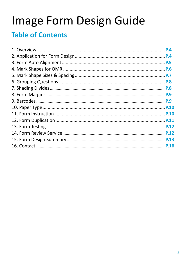## Image Form Design Guide

### **Table of Contents**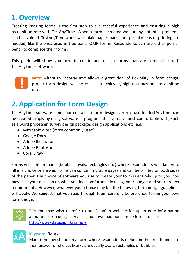### **1. Overview**

Creating imaging forms is the first step to a successful experience and ensuring a high recognition rate with TestAnyTime. When a form is created well, many potential problems can be avoided. TestAnyTime works with plain paper marks, no special marks or printing are needed, like the ones used in traditional OMR forms. Respondents can use either pen or pencil to complete their forms.

This guide will show you how to create and design forms that are compatible with TestAnyTime software.



**Note:** Although TestAnyTime allows a great deal of flexibility in form design, proper form design will be crucial in achieving high accuracy and recognition rate.

### **2. Application for Form Design**

TestAnyTime software is not nor contains a form designer. Forms use for TestAnyTime can be created simply by using software in programs that you are most comfortable with; such as a word processer, survey design package, design applications etc. e.g.:

- Microsoft Word (most commonly used)
- Google Docs
- Adobe Illustrator
- Adobe Photoshop
- Corel Draw

Forms will contain marks (bubbles, ovals, rectangles etc.) where respondents will darken to fill in a choice or answer. Forms can contain multiple pages and can be printed on both sides of the paper. The choice of software you use to create your form is entirely up to you. You may base your decision on what you feel comfortable in using, your budget and your project requirements. However, whatever your choice may be, the following form design guidelines will apply. We suggest that you read through them carefully before undertaking your own form design.



**TIP:** You may wish to refer to our DataCap website for up to date information about our form design services and download our sample forms to use: <http://www.datacap.hk/sample>



#### **Keyword:** 'Mark'

Mark is hollow shape on a form where respondents darken in the area to indicate their answer or choice. Marks are usually ovals, rectangles or bubbles.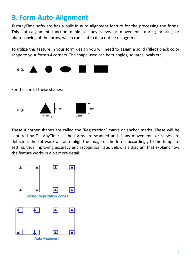### **3. Form Auto-Alignment**

TestAnyTime software has a built-in auto alignment feature for the processing the forms. This auto-alignment function minimizes any skews or movements during printing or photocopying of the forms, which can lead to data not be recognized.

To utilize this feature in your form design you will need to assign a solid (filled) black color shape to your form's 4 corners. The shape used can be triangles, squares, ovals etc:



These 4 corner shapes are called the 'Registration' marks or anchor marks. These will be captured by TestAnyTime as the forms are scanned and if any movements or skews are detected, the software will auto align the image of the forms accordingly to the template setting, thus improving accuracy and recognition rate. Below is a diagram that explains how the feature works in a bit more detail:

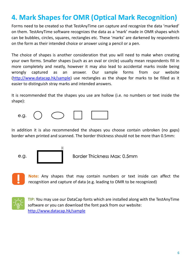### **4. Mark Shapes for OMR (Optical Mark Recognition)**

Forms need to be created so that TestAnyTime can capture and recognize the data 'marked' on them. TestAnyTime software recognizes the data as a 'mark' made in OMR shapes which can be bubbles, circles, squares, rectangles etc. These 'marks' are darkened by respondents on the form as their intended choice or answer using a pencil or a pen.

The choice of shapes is another consideration that you will need to make when creating your own forms. Smaller shapes (such as an oval or circle) usually mean respondents fill in more completely and neatly, however it may also lead to accidental marks inside being wrongly captured as an answer. Our sample forms from our website [\(http://www.datacap.hk/sample\)](http://www.datacap.hk/sample) use rectangles as the shape for marks to be filled as it easier to distinguish stray marks and intended answers.

It is recommended that the shapes you use are hollow (i.e. no numbers or text inside the shape):



 $\mathsf{H}$ 

In addition it is also recommended the shapes you choose contain unbroken (no gaps) border when printed and scanned. The border thickness should not be more than 0.5mm:





Border Thickness Max: 0.5mm



**Note:** Any shapes that may contain numbers or text inside can affect the recognition and capture of data (e.g. leading to OMR to be recognized)



**TIP:** You may use our DataCap fonts which are installed along with the TestAnyTime software or you can download the font pack from our website: <http://www.datacap.hk/sample>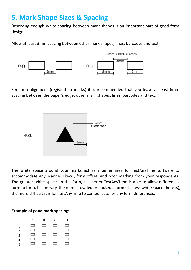### **5. Mark Shape Sizes & Spacing**

Reserving enough white spacing between mark shapes is an important part of good form design.

Allow at least 3mm spacing between other mark shapes, lines, barcodes and text:



For form alignment (registration marks) it is recommended that you leave at least 6mm spacing between the paper's edge, other mark shapes, lines, barcodes and text.



The white space around your marks act as a buffer area for TestAnyTime software to accommodate any scanner skews, form offset, and poor marking from your respondents. The greater white space on the form, the better TestAnyTime is able to allow differences form to form. In contrary, the more crowded or packed a form (the less white space there is), the more difficult it is for TestAnyTime to compensate for any form differences.

#### **Example of good mark spacing:**

|                          |        | A B                                                                                                                                                                                                                                                                                                                                                                                                                                    | $C$ D                                                                                                                                                                                                                                |        |
|--------------------------|--------|----------------------------------------------------------------------------------------------------------------------------------------------------------------------------------------------------------------------------------------------------------------------------------------------------------------------------------------------------------------------------------------------------------------------------------------|--------------------------------------------------------------------------------------------------------------------------------------------------------------------------------------------------------------------------------------|--------|
| $\mathbf{1}$             |        | $\begin{array}{ccccccccccccccccc} \textbf{1} & \textbf{1} & \textbf{1} & \textbf{1} & \textbf{1} & \textbf{1} & \textbf{1} & \textbf{1} & \textbf{1} & \textbf{1} & \textbf{1} & \textbf{1} & \textbf{1} & \textbf{1} & \textbf{1} & \textbf{1} & \textbf{1} & \textbf{1} & \textbf{1} & \textbf{1} & \textbf{1} & \textbf{1} & \textbf{1} & \textbf{1} & \textbf{1} & \textbf{1} & \textbf{1} & \textbf{1} & \textbf{1} & \textbf{1}$ |                                                                                                                                                                                                                                      |        |
| 2                        |        | $\Box$ $\Box$ $\Box$                                                                                                                                                                                                                                                                                                                                                                                                                   |                                                                                                                                                                                                                                      | $\Box$ |
| 3                        |        | $\begin{array}{ccccccccccccccccc} \textbf{1} & \textbf{1} & \textbf{1} & \textbf{1} & \textbf{1} & \textbf{1} & \textbf{1} & \textbf{1} & \textbf{1} & \textbf{1} & \textbf{1} & \textbf{1} & \textbf{1} & \textbf{1} & \textbf{1} & \textbf{1} & \textbf{1} & \textbf{1} & \textbf{1} & \textbf{1} & \textbf{1} & \textbf{1} & \textbf{1} & \textbf{1} & \textbf{1} & \textbf{1} & \textbf{1} & \textbf{1} & \textbf{1} & \textbf{1}$ |                                                                                                                                                                                                                                      |        |
| $\overline{\mathcal{A}}$ | $\Box$ |                                                                                                                                                                                                                                                                                                                                                                                                                                        | <u>and the state of the state of the state of the state of the state of the state of the state of the state of the state of the state of the state of the state of the state of the state of the state of the state of the state</u> | $\Box$ |
| $\overline{5}$           |        |                                                                                                                                                                                                                                                                                                                                                                                                                                        |                                                                                                                                                                                                                                      |        |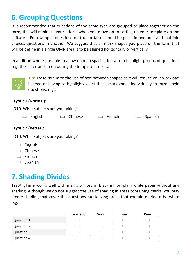### **6. Grouping Questions**

It is recommended that questions of the same type are grouped or place together on the form, this will minimize your efforts when you move on to setting up your template on the software. For example, questions on true or false should be place in one area and multiple choices questions in another. We suggest that all mark shapes you place on the form that will be define in a single OMR area is to be aligned horizontally or vertically.

In addition where possible to allow enough spacing for you to highlight groups of questions together later on-screen during the template process.



**Tip:** Try to minimize the use of text between shapes as it will reduce your workload instead of having to highlight/select these mark zones individually to form single questions, e.g.:

#### **Layout 1 (Normal):**

Q10. What subjects are you taking?

|  | $\Box$ English | $\Box$ Chinese | $\Box$ French | $\Box$ Spanish |
|--|----------------|----------------|---------------|----------------|
|--|----------------|----------------|---------------|----------------|

#### **Layout 2 (Better):**

Q10. What subjects are you taking?

- English
- $\Box$  Chinese
- $\Box$  French
- $\Box$  Spanish

### **7. Shading Divides**

TestAnyTime works well with marks printed in black ink on plain white paper without any shading. Although we do not suggest the use of shading in areas containing marks, you may create shading that cover the questions but leaving areas that contain marks to be white e.g.:

|                   | <b>Excellent</b> | Good | Fair | Poor |
|-------------------|------------------|------|------|------|
| Question 1        |                  |      |      |      |
| <b>Question 2</b> |                  |      |      |      |
| Question 3        |                  |      |      |      |
| Question 4        |                  |      |      |      |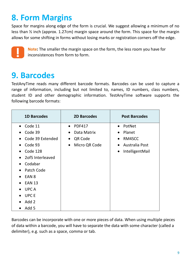### **8. Form Margins**

Space for margins along edge of the form is crucial. We suggest allowing a minimum of no less than ½ inch (approx. 1.27cm) margin space around the form. This space for the margin allows for some shifting in forms without losing marks or registration corners off the edge.



**Note:** The smaller the margin space on the form, the less room you have for inconsistences from form to form.

### **9. Barcodes**

TestAnyTime reads many different barcode formats. Barcodes can be used to capture a range of information, including but not limited to, names, ID numbers, class numbers, student ID and other demographic information. TestAnyTime software supports the following barcode formats:

| <b>1D Barcodes</b> | <b>2D Barcodes</b>         | <b>Post Barcodes</b>         |
|--------------------|----------------------------|------------------------------|
| Code 11            | <b>PDF417</b>              | PotNet                       |
| Code 39            | Data Matrix<br>$\bullet$   | Planet<br>$\bullet$          |
| Code 39 Extended   | QR Code<br>$\bullet$       | RM4SCC                       |
| Code 93            | Micro QR Code<br>$\bullet$ | Australia Post               |
| Code 128           |                            | IntelligentMail<br>$\bullet$ |
| 2of5 Interleaved   |                            |                              |
| Codabar            |                            |                              |
| Patch Code         |                            |                              |
| EAN <sub>8</sub>   |                            |                              |
| <b>EAN 13</b>      |                            |                              |
| <b>UPCA</b>        |                            |                              |
| <b>UPCE</b>        |                            |                              |
| Add 2              |                            |                              |
| Add 5              |                            |                              |

Barcodes can be incorporate with one or more pieces of data. When using multiple pieces of data within a barcode, you will have to separate the data with some character (called a delimiter), e.g. such as a space, comma or tab.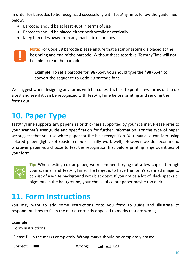In order for barcodes to be recognized successfully with TestAnyTime, follow the guidelines below:

- Barcodes should be at least 48pt in terms of size
- Barcodes should be placed either horizontally or vertically
- Keep barcodes away from any marks, texts or lines



**Note:** For Code 39 barcode please ensure that a star or asterisk is placed at the beginning and end of the barcode. Without these asterisks, TestAnyTime will not be able to read the barcode.

**Example:** To set a barcode for '987654', you should type the \*987654\* to convert the sequence to Code 39 barcode font.

We suggest when designing any forms with barcodes it is best to print a few forms out to do a test and see if it can be recognized with TestAnyTime before printing and sending the forms out.

### **10. Paper Type**

TestAnyTime supports any paper size or thickness supported by your scanner. Please refer to your scanner's user guide and specification for further information. For the type of paper we suggest that you use white paper for the best recognition. You may also consider using colored paper (light, soft/pastel colours usually work well). However we do recommend whatever paper you choose to test the recognition first before printing large quantities of your form.



**Tip:** When testing colour paper, we recommend trying out a few copies through your scanner and TestAnyTime. The target is to have the form's scanned image to consist of a white background with black text. If you notice a lot of black specks or pigments in the background, your choice of colour paper maybe too dark.

### **11. Form Instructions**

You may want to add some instructions onto you form to guide and illustrate to respondents how to fill in the marks correctly opposed to marks that are wrong.

#### **Example:**

#### Form Instructions

Please fill in the marks completely. Wrong marks should be completely erased.

Correct:  $\blacksquare$  Wrong:  $\blacksquare$   $\blacksquare$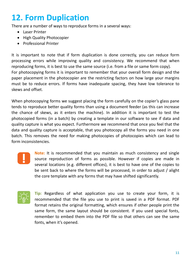### **12. Form Duplication**

There are a number of ways to reproduce forms in a several ways:

- Laser Printer
- High Quality Photocopier
- Professional Printer

It is important to note that if form duplication is done correctly, you can reduce form processing errors while improving quality and consistency. We recommend that when reproducing forms, it is best to use the same source (i.e. from a file or same form copy). For photocopying forms it is important to remember that your overall form design and the paper placement in the photocopier are the restricting factors on how large your margins must be to reduce errors. If forms have inadequate spacing, they have low tolerance to skews and offset.

When photocopying forms we suggest placing the form carefully on the copier's glass pane tends to reproduce better quality forms than using a document feeder (as this can increase the chance of skews, as it enters the machine). In addition it is important to test the photocopied forms (in a batch) by creating a template in our software to see if data and quality capture is what you expect. Furthermore we recommend that once you feel that the data and quality capture is acceptable, that you photocopy all the forms you need in one batch. This removes the need for making photocopies of photocopies which can lead to form inconsistencies.



**Note:** It is recommended that you maintain as much consistency and single source reproduction of forms as possible. However if copies are made in several locations (e.g. different offices), it is best to have one of the copies to be sent back to where the forms will be processed, in order to adjust / alight the core template with any forms that may have shifted significantly.



**Tip:** Regardless of what application you use to create your form, it is recommended that the file you use to print is saved in a PDF format. PDF format retains the original formatting, which ensures if other people print the same form, the same layout should be consistent. If you used special fonts, remember to embed them into the PDF file so that others can see the same fonts, when it's opened.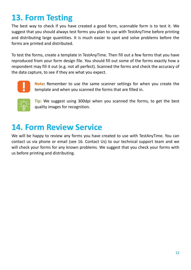### **13. Form Testing**

The best way to check if you have created a good form, scannable form is to test it. We suggest that you should always test forms you plan to use with TestAnyTime before printing and distributing large quantities. It is much easier to spot and solve problems before the forms are printed and distributed.

To test the forms, create a template in TestAnyTime. Then fill out a few forms that you have reproduced from your form design file. You should fill out some of the forms exactly how a respondent may fill it out (e.g. not all perfect). Scanned the forms and check the accuracy of the data capture, to see if they are what you expect.



**Note:** Remember to use the same scanner settings for when you create the template and when you scanned the forms that are filled in.



**Tip:** We suggest using 300dpi when you scanned the forms, to get the best quality images for recognition.

### **14. Form Review Service**

We will be happy to review any forms you have created to use with TestAnyTime. You can contact us via phone or email (see 16. Contact Us) to our technical support team and we will check your forms for any known problems. We suggest that you check your forms with us before printing and distributing.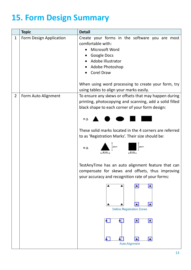### **15. Form Design Summary**

|                | <b>Topic</b>            | <b>Detail</b>                                                                                                                                                                                                                   |
|----------------|-------------------------|---------------------------------------------------------------------------------------------------------------------------------------------------------------------------------------------------------------------------------|
| $\mathbf{1}$   | Form Design Application | Create your forms in the software you are most<br>comfortable with:<br>Microsoft Word<br><b>Google Docs</b><br>Adobe Illustrator<br>Adobe Photoshop<br><b>Corel Draw</b><br>When using word processing to create your form, try |
|                |                         | using tables to align your marks easily.                                                                                                                                                                                        |
| $\overline{2}$ | Form Auto Alignment     | To ensure any skews or offsets that may happen during<br>printing, photocopying and scanning, add a solid filled<br>black shape to each corner of your form design:<br>e.g.                                                     |
|                |                         | These solid marks located in the 4 corners are referred<br>to as 'Registration Marks'. Their size should be:<br>$\frac{1}{2}$ 6mm<br>6mm<br>e.g.<br>6mm<br>6mm                                                                  |
|                |                         | TestAnyTime has an auto alignment feature that can<br>compensate for skews and offsets, thus improving<br>your accuracy and recognition rate of your forms:                                                                     |
|                |                         | <b>Define Registration Zones</b>                                                                                                                                                                                                |
|                |                         | <b>Auto Alignment</b>                                                                                                                                                                                                           |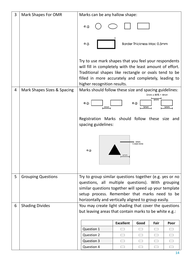| 3 | Mark Shapes For OMR         | Marks can be any hallow shape:                                                                                                                                                                                                                                    |                  |                             |                         |        |
|---|-----------------------------|-------------------------------------------------------------------------------------------------------------------------------------------------------------------------------------------------------------------------------------------------------------------|------------------|-----------------------------|-------------------------|--------|
|   |                             | e.g.                                                                                                                                                                                                                                                              |                  |                             |                         |        |
|   |                             | e.g.                                                                                                                                                                                                                                                              |                  | Border Thickness Max: 0.5mm |                         |        |
|   |                             | Try to use mark shapes that you feel your respondents<br>will fill in completely with the least amount of effort.<br>Traditional shapes like rectangle or ovals tend to be<br>filled in more accurately and completely, leading to<br>higher recognition results. |                  |                             |                         |        |
| 4 | Mark Shapes Sizes & Spacing | Marks should follow these size and spacing guidelines:                                                                                                                                                                                                            |                  |                             | $5mm \times 80\% = 4mm$ |        |
|   |                             | e.g<br>3mm                                                                                                                                                                                                                                                        |                  | e.g.<br>5mm                 | 4mm                     | 5mm    |
|   |                             | Registration Marks should follow these size and<br>spacing guidelines:                                                                                                                                                                                            |                  |                             |                         |        |
|   |                             | e.g.                                                                                                                                                                                                                                                              | 6mm              | 6mm<br>Clear Zone           |                         |        |
| 5 | <b>Grouping Questions</b>   | Try to group similar questions together (e.g. yes or no                                                                                                                                                                                                           |                  |                             |                         |        |
|   |                             | questions, all multiple questions). With grouping<br>similar questions together will speed up your template                                                                                                                                                       |                  |                             |                         |        |
|   |                             | setup process. Remember that marks need to be                                                                                                                                                                                                                     |                  |                             |                         |        |
| 6 | <b>Shading Divides</b>      | horizontally and vertically aligned to group easily.<br>You may create light shading that cover the questions                                                                                                                                                     |                  |                             |                         |        |
|   |                             | but leaving areas that contain marks to be white e.g.:                                                                                                                                                                                                            |                  |                             |                         |        |
|   |                             |                                                                                                                                                                                                                                                                   | <b>Excellent</b> | Good                        | Fair                    | Poor   |
|   |                             | Question 1                                                                                                                                                                                                                                                        |                  |                             | ┌─┐                     |        |
|   |                             | Question 2                                                                                                                                                                                                                                                        | $\Box$           | $\Box$                      | $\Box$                  | $\Box$ |
|   |                             | <b>Question 3</b>                                                                                                                                                                                                                                                 |                  |                             | $\Box$                  |        |
|   |                             | Question 4                                                                                                                                                                                                                                                        |                  |                             |                         |        |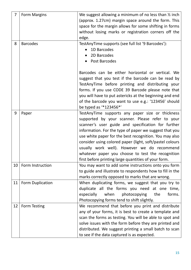| $\overline{7}$ | <b>Form Margins</b> | We suggest allowing a minimum of no less than $\frac{1}{2}$ inch |
|----------------|---------------------|------------------------------------------------------------------|
|                |                     | (approx. 1.27cm) margin space around the form. This              |
|                |                     | space for the margin allows for some shifting in forms           |
|                |                     | without losing marks or registration corners off the             |
|                |                     | edge.                                                            |
| 8              | <b>Barcodes</b>     | TestAnyTime supports (see full list '9 Barcodes'):               |
|                |                     | 1D Barcodes                                                      |
|                |                     | 2D Barcodes                                                      |
|                |                     | Post Barcodes                                                    |
|                |                     |                                                                  |
|                |                     | Barcodes can be either horizontal or vertical. We                |
|                |                     | suggest that you test if the barcode can be read by              |
|                |                     | TestAnyTime before printing and distributing your                |
|                |                     | forms. If you use CODE 39 Barcode please note that               |
|                |                     | you will have to put astericks at the beginning and end          |
|                |                     | of the barcode you want to use e.g.: '123456' should             |
|                |                     | be typed as '*123456*'                                           |
| 9              | Paper               | TestAnyTime supports any paper size or thickness                 |
|                |                     | supported by your scanner. Please refer to your                  |
|                |                     | scanner's user guide and specification for further               |
|                |                     |                                                                  |
|                |                     | information. For the type of paper we suggest that you           |
|                |                     | use white paper for the best recognition. You may also           |
|                |                     | consider using colored paper (light, soft/pastel colours         |
|                |                     | usually work well). However we do recommend                      |
|                |                     | whatever paper you choose to test the recognition                |
|                |                     | first before printing large quantities of your form.             |
| 10             | Form Instruction    | You may want to add some instructions onto you form              |
|                |                     | to guide and illustrate to respondents how to fill in the        |
|                |                     | marks correctly opposed to marks that are wrong.                 |
| 11             | Form Duplication    | When duplicating forms, we suggest that you try to               |
|                |                     | duplicate all the forms you need at one time,                    |
|                |                     | when<br>especially<br>photocopying<br>the<br>forms.              |
|                |                     | Photocopying forms tend to shift slightly.                       |
| 12             | Form Testing        | We recommend that before you print and distribute                |
|                |                     | any of your forms, it is best to create a template and           |
|                |                     | scan the forms as testing. You will be able to spot and          |
|                |                     | solve issues with the form before they are printed and           |
|                |                     | distributed. We suggest printing a small batch to scan           |
|                |                     | to see if the data captured is as expected.                      |